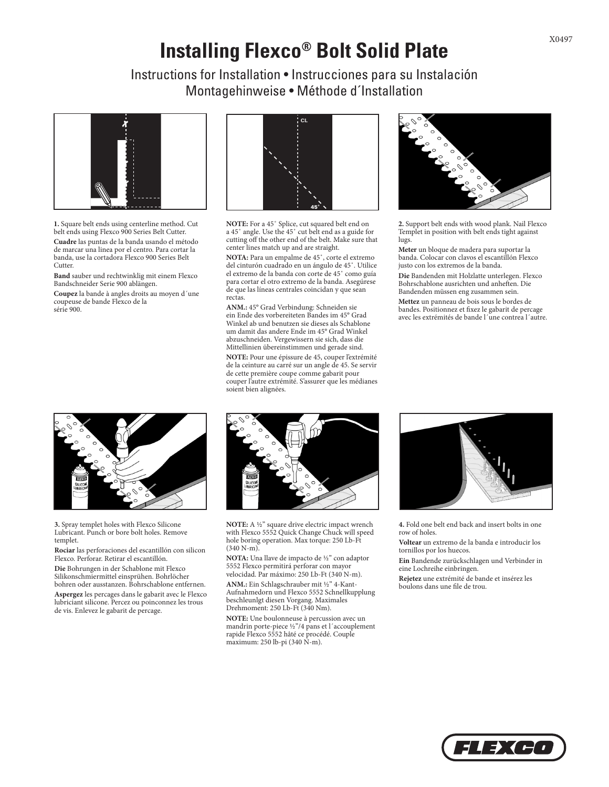## **Installing Flexco® Bolt Solid Plate**

Instructions for Installation • Instrucciones para su Instalación Montagehinweise • Méthode d´Installation



**1.** Square belt ends using centerline method. Cut belt ends using Flexco 900 Series Belt Cutter.

**Cuadre** las puntas de la banda usando el método de marcar una linea por el centro. Para cortar la banda, use la cortadora Flexco 900 Series Belt Cutter.

**Band** sauber und rechtwinklig mit einem Flexco Bandschneider Serie 900 ablängen.

**Coupez** la bande à angles droits au moyen d´une coupeuse de bande Flexco de la série 900.



**NOTE:** For a 45˚ Splice, cut squared belt end on a 45˚ angle. Use the 45˚ cut belt end as a guide for cutting off the other end of the belt. Make sure that center lines match up and are straight.

**NOTA:** Para un empalme de 45˚, corte el extremo del cinturón cuadrado en un ángulo de 45˚. Utilice el extremo de la banda con corte de 45˚ como guía para cortar el otro extremo de la banda. Asegúrese de que las líneas centrales coincidan y que sean rectas.

**ANM.:** 45° Grad Verbindung: Schneiden sie ein Ende des vorbereiteten Bandes im 45° Grad Winkel ab und benutzen sie dieses als Schablone um damit das andere Ende im 45° Grad Winkel abzuschneiden. Vergewissern sie sich, dass die Mittellinien übereinstimmen und gerade sind.

**NOTE:** Pour une épissure de 45, couper l'extrémité de la ceinture au carré sur un angle de 45. Se servir de cette première coupe comme gabarit pour couper l'autre extrémité. S'assurer que les médianes soient bien alignées.



**2.** Support belt ends with wood plank. Nail Flexco Templet in position with belt ends tight against lugs.

**Meter** un bloque de madera para suportar la banda. Colocar con clavos el escantillón Flexco justo con los extremos de la banda.

**Die** Bandenden mit Holzlatte unterlegen. Flexco Bohrschablone ausrichten und anheften. Die Bandenden müssen eng zusammen sein.

**Mettez** un panneau de bois sous le bordes de bandes. Positionnez et fixez le gabarit de percage avec les extrémités de bande l´une contrea l´autre.



**3.** Spray templet holes with Flexco Silicone Lubricant. Punch or bore bolt holes. Remove templet.

**Rociar** las perforaciones del escantillón con silicon Flexco. Perforar. Retirar el escantillón.

**Die** Bohrungen in der Schablone mit Flexco Silikonschmiermittel einsprühen. Bohrlöcher bohren oder ausstanzen. Bohrschablone entfernen.

**Aspergez** les percages dans le gabarit avec le Flexco lubriciant silicone. Percez ou poinconnez les trous de vis. Enlevez le gabarit de percage.



**NOTE:** A ½" square drive electric impact wrench with Flexco 5552 Quick Change Chuck will speed hole boring operation. Max torque: 250 Lb-Ft  $(340 N-m)$ .

**NOTA:** Una llave de impacto de ½" con adaptor 5552 Flexco permitirá perforar con mayor velocidad. Par máximo: 250 Lb-Ft (340 N-m). **ANM.:** Ein Schlagschrauber mit ½" 4-Kant-Aufnahmedorn und Flexco 5552 Schnellkupplung beschleunlgt diesen Vorgang. Maximales Drehmoment: 250 Lb-Ft (340 Nm).

**NOTE:** Une boulonneuse à percussion avec un mandrin porte-piece ½"/4 pans et l´accouplement rapide Flexco 5552 hâté ce procédé. Couple maximum: 250 lb-pi (340 N-m).



**4.** Fold one belt end back and insert bolts in one row of holes.

**Voltear** un extremo de la banda e introducir los tornillos por los huecos.

**Ein** Bandende zurückschlagen und Verbinder in eine Lochreihe einbringen.

**Rejetez** une extrémité de bande et insérez les boulons dans une file de trou.



X0497